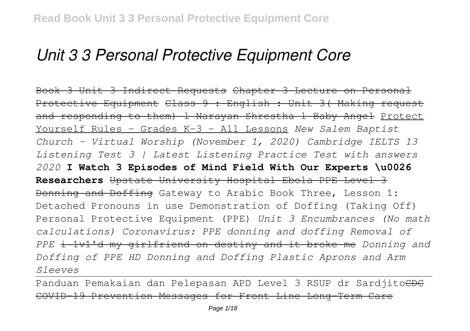# *Unit 3 3 Personal Protective Equipment Core*

Book 3 Unit 3 Indirect Requests Chapter 3 Lecture on Personal Protective Equipment Class 9 : English : Unit 3( Making request and responding to them) 1 Narayan Shrestha 1 Baby Angel Protect Yourself Rules - Grades K-3 - All Lessons *New Salem Baptist Church - Virtual Worship (November 1, 2020) Cambridge IELTS 13 Listening Test 3 | Latest Listening Practice Test with answers 2020* **I Watch 3 Episodes of Mind Field With Our Experts \u0026 Researchers** Upstate University Hospital Ebola PPE Level 3 Donning and Doffing Gateway to Arabic Book Three, Lesson 1: Detached Pronouns in use Demonstration of Doffing (Taking Off) Personal Protective Equipment (PPE) *Unit 3 Encumbrances (No math calculations) Coronavirus: PPE donning and doffing Removal of PPE* i 1v1'd my girlfriend on destiny and it broke me *Donning and Doffing of PPE HD Donning and Doffing Plastic Aprons and Arm Sleeves*

Panduan Pemakaian dan Pelepasan APD Level 3 RSUP dr Sardjitoche COVID-19 Prevention Messages for Front Line Long-Term Care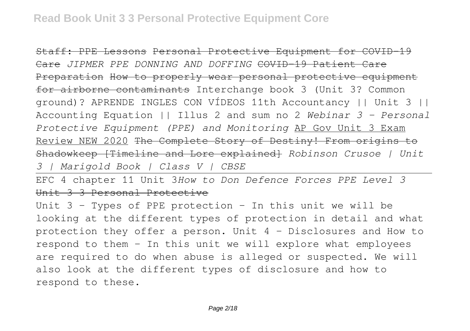Staff: PPE Lessons Personal Protective Equipment for COVID-19 Care *JIPMER PPE DONNING AND DOFFING* COVID-19 Patient Care Preparation How to properly wear personal protective equipment for airborne contaminants Interchange book 3 (Unit 3? Common ground)? APRENDE INGLES CON VÍDEOS 11th Accountancy || Unit 3 || Accounting Equation || Illus 2 and sum no 2 *Webinar 3 - Personal Protective Equipment (PPE) and Monitoring* AP Gov Unit 3 Exam Review NEW 2020 The Complete Story of Destiny! From origins to Shadowkeep [Timeline and Lore explained] *Robinson Crusoe | Unit 3 | Marigold Book | Class V | CBSE*

EFC 4 chapter 11 Unit 3*How to Don Defence Forces PPE Level 3* Unit 3 3 Personal Protective

Unit 3 – Types of PPE protection – In this unit we will be looking at the different types of protection in detail and what protection they offer a person. Unit 4 – Disclosures and How to respond to them – In this unit we will explore what employees are required to do when abuse is alleged or suspected. We will also look at the different types of disclosure and how to respond to these.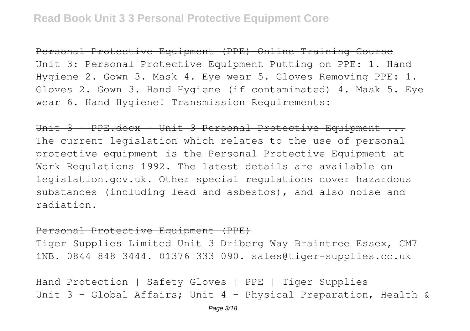Personal Protective Equipment (PPE) Online Training Course Unit 3: Personal Protective Equipment Putting on PPE: 1. Hand Hygiene 2. Gown 3. Mask 4. Eye wear 5. Gloves Removing PPE: 1. Gloves 2. Gown 3. Hand Hygiene (if contaminated) 4. Mask 5. Eye wear 6. Hand Hygiene! Transmission Requirements:

Unit 3 - PPE.docx - Unit 3 Personal Protective Equipment ... The current legislation which relates to the use of personal protective equipment is the Personal Protective Equipment at Work Regulations 1992. The latest details are available on legislation.gov.uk. Other special regulations cover hazardous substances (including lead and asbestos), and also noise and radiation.

#### Personal Protective Equipment (PPE)

Tiger Supplies Limited Unit 3 Driberg Way Braintree Essex, CM7 1NB. 0844 848 3444. 01376 333 090. sales@tiger-supplies.co.uk

Hand Protection | Safety Gloves | PPE | Tiger Supplies Unit 3 – Global Affairs; Unit 4 – Physical Preparation, Health &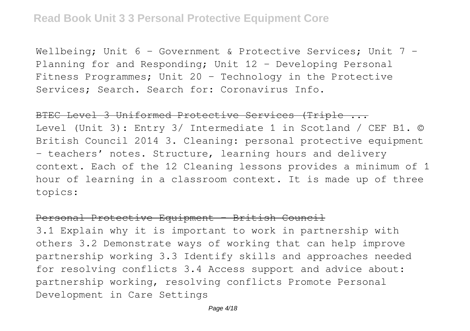Wellbeing; Unit 6 - Government & Protective Services; Unit 7 -Planning for and Responding; Unit 12 – Developing Personal Fitness Programmes; Unit 20 – Technology in the Protective Services; Search. Search for: Coronavirus Info.

### BTEC Level 3 Uniformed Protective Services (Triple ...

Level (Unit 3): Entry 3/ Intermediate 1 in Scotland / CEF B1. © British Council 2014 3. Cleaning: personal protective equipment – teachers' notes. Structure, learning hours and delivery context. Each of the 12 Cleaning lessons provides a minimum of 1 hour of learning in a classroom context. It is made up of three topics:

#### Personal Protective Equipment - British Council

3.1 Explain why it is important to work in partnership with others 3.2 Demonstrate ways of working that can help improve partnership working 3.3 Identify skills and approaches needed for resolving conflicts 3.4 Access support and advice about: partnership working, resolving conflicts Promote Personal Development in Care Settings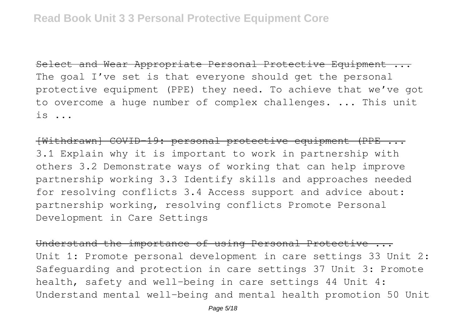Select and Wear Appropriate Personal Protective Equipment ... The goal I've set is that everyone should get the personal protective equipment (PPE) they need. To achieve that we've got to overcome a huge number of complex challenges. ... This unit  $is$  ...

[Withdrawn] COVID-19: personal protective equipment (PPE ... 3.1 Explain why it is important to work in partnership with others 3.2 Demonstrate ways of working that can help improve partnership working 3.3 Identify skills and approaches needed for resolving conflicts 3.4 Access support and advice about: partnership working, resolving conflicts Promote Personal Development in Care Settings

Understand the importance of using Personal Protective ... Unit 1: Promote personal development in care settings 33 Unit 2: Safeguarding and protection in care settings 37 Unit 3: Promote health, safety and well-being in care settings 44 Unit 4: Understand mental well-being and mental health promotion 50 Unit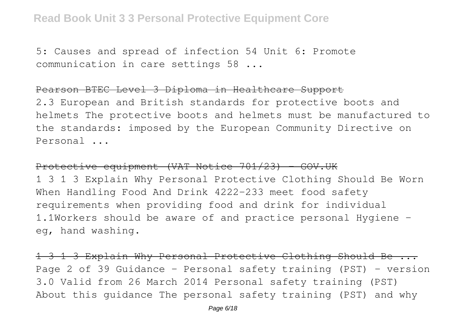# **Read Book Unit 3 3 Personal Protective Equipment Core**

5: Causes and spread of infection 54 Unit 6: Promote communication in care settings 58 ...

#### Pearson BTEC Level 3 Diploma in Healthcare Support

2.3 European and British standards for protective boots and helmets The protective boots and helmets must be manufactured to the standards: imposed by the European Community Directive on Personal ...

#### Protective equipment (VAT Notice 701/23) - GOV.UK

1 3 1 3 Explain Why Personal Protective Clothing Should Be Worn When Handling Food And Drink 4222-233 meet food safety requirements when providing food and drink for individual 1.1Workers should be aware of and practice personal Hygiene eg, hand washing.

1 3 1 3 Explain Why Personal Protective Clothing Should Be ... Page 2 of 39 Guidance – Personal safety training (PST) – version 3.0 Valid from 26 March 2014 Personal safety training (PST) About this guidance The personal safety training (PST) and why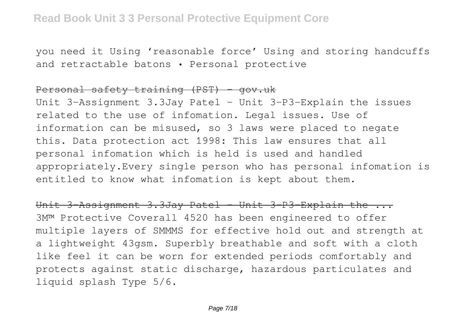you need it Using 'reasonable force' Using and storing handcuffs and retractable batons • Personal protective

# Personal safety training (PST) - gov.uk

Unit 3-Assignment 3.3Jay Patel - Unit 3-P3-Explain the issues related to the use of infomation. Legal issues. Use of information can be misused, so 3 laws were placed to negate this. Data protection act 1998: This law ensures that all personal infomation which is held is used and handled appropriately.Every single person who has personal infomation is entitled to know what infomation is kept about them.

Unit 3-Assignment 3.3Jay Patel - Unit 3-P3-Explain the ... 3M™ Protective Coverall 4520 has been engineered to offer multiple layers of SMMMS for effective hold out and strength at a lightweight 43gsm. Superbly breathable and soft with a cloth like feel it can be worn for extended periods comfortably and protects against static discharge, hazardous particulates and liquid splash Type 5/6.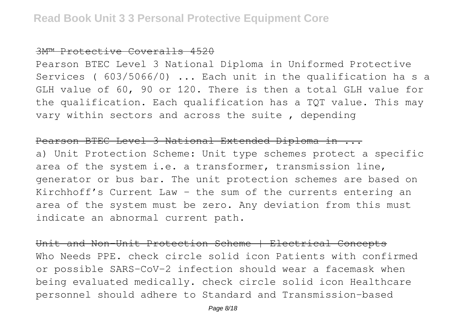#### 3M™ Protective Coveralls 4520

Pearson BTEC Level 3 National Diploma in Uniformed Protective Services ( 603/5066/0) ... Each unit in the qualification ha s a GLH value of 60, 90 or 120. There is then a total GLH value for the qualification. Each qualification has a TQT value. This may vary within sectors and across the suite , depending

#### Pearson BTEC Level 3 National Extended Diploma in ...

a) Unit Protection Scheme: Unit type schemes protect a specific area of the system i.e. a transformer, transmission line, generator or bus bar. The unit protection schemes are based on Kirchhoff's Current Law – the sum of the currents entering an area of the system must be zero. Any deviation from this must indicate an abnormal current path.

Unit and Non-Unit Protection Scheme | Electrical Concepts Who Needs PPE. check circle solid icon Patients with confirmed or possible SARS-CoV-2 infection should wear a facemask when being evaluated medically. check circle solid icon Healthcare personnel should adhere to Standard and Transmission-based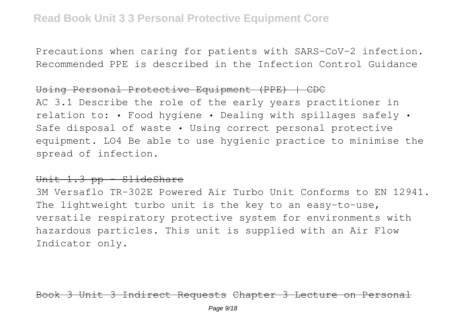Precautions when caring for patients with SARS-CoV-2 infection. Recommended PPE is described in the Infection Control Guidance

#### Using Personal Protective Equipment (PPE) | CDC

AC 3.1 Describe the role of the early years practitioner in relation to: • Food hygiene • Dealing with spillages safely • Safe disposal of waste • Using correct personal protective equipment. LO4 Be able to use hygienic practice to minimise the spread of infection.

# Unit 1.3 pp - SlideShare

3M Versaflo TR-302E Powered Air Turbo Unit Conforms to EN 12941. The lightweight turbo unit is the key to an easy-to-use, versatile respiratory protective system for environments with hazardous particles. This unit is supplied with an Air Flow Indicator only.

Book 3 Unit 3 Indirect Requests Chapter 3 Lecture on Personal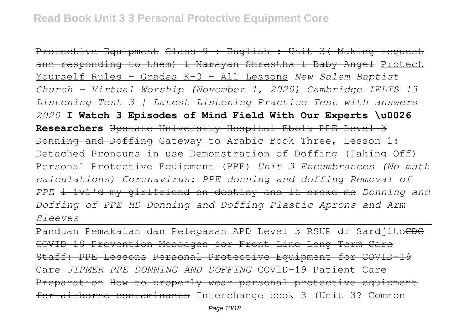Protective Equipment Class 9 : English : Unit 3( Making request and responding to them) 1 Narayan Shrestha 1 Baby Angel Protect Yourself Rules - Grades K-3 - All Lessons *New Salem Baptist Church - Virtual Worship (November 1, 2020) Cambridge IELTS 13 Listening Test 3 | Latest Listening Practice Test with answers 2020* **I Watch 3 Episodes of Mind Field With Our Experts \u0026 Researchers** Upstate University Hospital Ebola PPE Level 3 Donning and Doffing Gateway to Arabic Book Three, Lesson 1: Detached Pronouns in use Demonstration of Doffing (Taking Off) Personal Protective Equipment (PPE) *Unit 3 Encumbrances (No math calculations) Coronavirus: PPE donning and doffing Removal of PPE* i 1v1'd my girlfriend on destiny and it broke me *Donning and Doffing of PPE HD Donning and Doffing Plastic Aprons and Arm Sleeves*

Panduan Pemakaian dan Pelepasan APD Level 3 RSUP dr SardjitoCDC COVID-19 Prevention Messages for Front Line Long-Term Care Staff: PPE Lessons Personal Protective Equipment for COVID-19 Care *JIPMER PPE DONNING AND DOFFING* COVID-19 Patient Care Preparation How to properly wear personal protective equipment for airborne contaminants Interchange book 3 (Unit 3? Common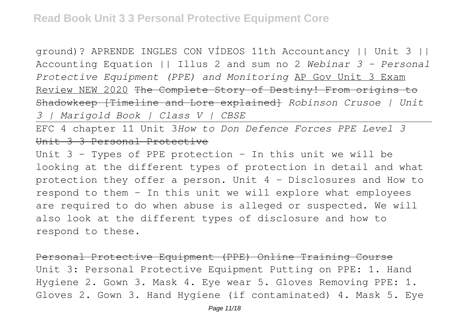ground)? APRENDE INGLES CON VÍDEOS 11th Accountancy || Unit 3 || Accounting Equation || Illus 2 and sum no 2 *Webinar 3 - Personal Protective Equipment (PPE) and Monitoring* AP Gov Unit 3 Exam Review NEW 2020 The Complete Story of Destiny! From origins to Shadowkeep [Timeline and Lore explained] *Robinson Crusoe | Unit 3 | Marigold Book | Class V | CBSE*

EFC 4 chapter 11 Unit 3*How to Don Defence Forces PPE Level 3* Unit 3 3 Personal Protective

Unit 3 – Types of PPE protection – In this unit we will be looking at the different types of protection in detail and what protection they offer a person. Unit 4 – Disclosures and How to respond to them – In this unit we will explore what employees are required to do when abuse is alleged or suspected. We will also look at the different types of disclosure and how to respond to these.

Personal Protective Equipment (PPE) Online Training Course Unit 3: Personal Protective Equipment Putting on PPE: 1. Hand Hygiene 2. Gown 3. Mask 4. Eye wear 5. Gloves Removing PPE: 1. Gloves 2. Gown 3. Hand Hygiene (if contaminated) 4. Mask 5. Eye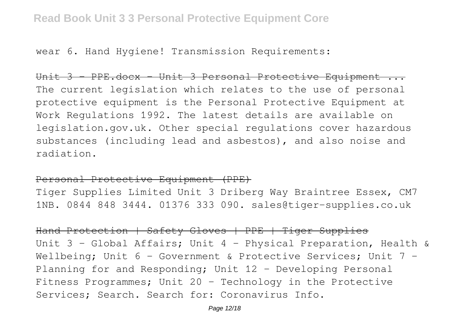wear 6. Hand Hygiene! Transmission Requirements:

Unit 3 - PPE.docx - Unit 3 Personal Protective Equipment ... The current legislation which relates to the use of personal protective equipment is the Personal Protective Equipment at Work Regulations 1992. The latest details are available on legislation.gov.uk. Other special regulations cover hazardous substances (including lead and asbestos), and also noise and radiation.

Personal Protective Equipment (PPE)

Tiger Supplies Limited Unit 3 Driberg Way Braintree Essex, CM7 1NB. 0844 848 3444. 01376 333 090. sales@tiger-supplies.co.uk

Hand Protection | Safety Gloves | PPE | Tiger Supplies Unit 3 – Global Affairs; Unit 4 – Physical Preparation, Health & Wellbeing; Unit 6 - Government & Protective Services; Unit 7 -Planning for and Responding; Unit 12 – Developing Personal Fitness Programmes; Unit 20 – Technology in the Protective Services; Search. Search for: Coronavirus Info.

Page 12/18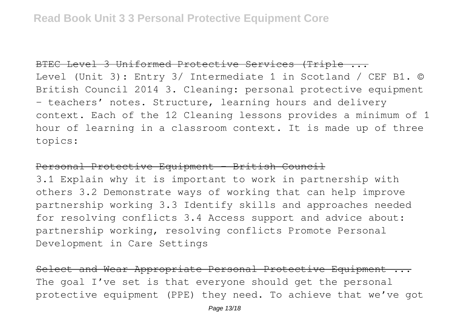# BTEC Level 3 Uniformed Protective Services (Triple ...

Level (Unit 3): Entry 3/ Intermediate 1 in Scotland / CEF B1. © British Council 2014 3. Cleaning: personal protective equipment – teachers' notes. Structure, learning hours and delivery context. Each of the 12 Cleaning lessons provides a minimum of 1 hour of learning in a classroom context. It is made up of three topics:

## Personal Protective Equipment - British Council

3.1 Explain why it is important to work in partnership with others 3.2 Demonstrate ways of working that can help improve partnership working 3.3 Identify skills and approaches needed for resolving conflicts 3.4 Access support and advice about: partnership working, resolving conflicts Promote Personal Development in Care Settings

Select and Wear Appropriate Personal Protective Equipment ... The goal I've set is that everyone should get the personal protective equipment (PPE) they need. To achieve that we've got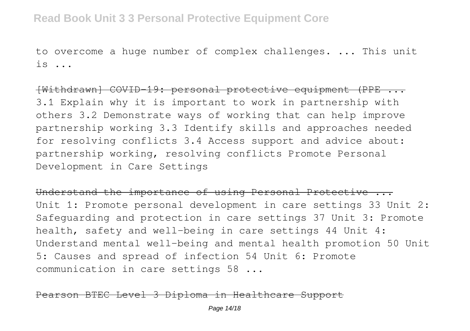# **Read Book Unit 3 3 Personal Protective Equipment Core**

to overcome a huge number of complex challenges. ... This unit  $i<sub>s</sub>$ 

[Withdrawn] COVID-19: personal protective equipment (PPE ... 3.1 Explain why it is important to work in partnership with others 3.2 Demonstrate ways of working that can help improve partnership working 3.3 Identify skills and approaches needed for resolving conflicts 3.4 Access support and advice about: partnership working, resolving conflicts Promote Personal Development in Care Settings

Understand the importance of using Personal Protective ... Unit 1: Promote personal development in care settings 33 Unit 2: Safeguarding and protection in care settings 37 Unit 3: Promote health, safety and well-being in care settings 44 Unit 4: Understand mental well-being and mental health promotion 50 Unit 5: Causes and spread of infection 54 Unit 6: Promote communication in care settings 58 ...

arson BTEC Level 3 Diploma in Healthcare Support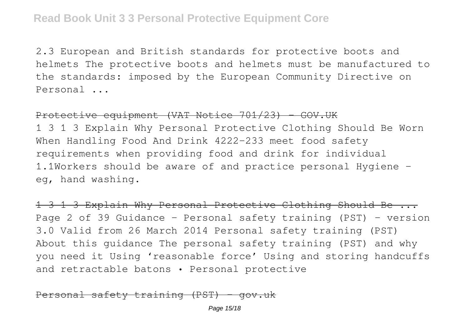2.3 European and British standards for protective boots and helmets The protective boots and helmets must be manufactured to the standards: imposed by the European Community Directive on Personal ...

## Protective equipment (VAT Notice 701/23) - GOV.UK

1 3 1 3 Explain Why Personal Protective Clothing Should Be Worn When Handling Food And Drink 4222-233 meet food safety requirements when providing food and drink for individual 1.1Workers should be aware of and practice personal Hygiene eg, hand washing.

1 3 1 3 Explain Why Personal Protective Clothing Should Be ... Page 2 of 39 Guidance – Personal safety training (PST) – version 3.0 Valid from 26 March 2014 Personal safety training (PST) About this guidance The personal safety training (PST) and why you need it Using 'reasonable force' Using and storing handcuffs and retractable batons • Personal protective

Personal safety training (PST) - gov.uk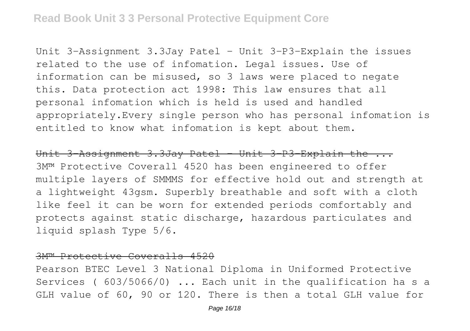Unit 3-Assignment 3.3Jay Patel - Unit 3-P3-Explain the issues related to the use of infomation. Legal issues. Use of information can be misused, so 3 laws were placed to negate this. Data protection act 1998: This law ensures that all personal infomation which is held is used and handled appropriately.Every single person who has personal infomation is entitled to know what infomation is kept about them.

Unit 3-Assignment 3.3Jay Patel - Unit 3-P3-Explain the ... 3M™ Protective Coverall 4520 has been engineered to offer multiple layers of SMMMS for effective hold out and strength at a lightweight 43gsm. Superbly breathable and soft with a cloth like feel it can be worn for extended periods comfortably and protects against static discharge, hazardous particulates and liquid splash Type 5/6.

#### 3M™ Protective Coveralls 4520

Pearson BTEC Level 3 National Diploma in Uniformed Protective Services ( 603/5066/0) ... Each unit in the qualification ha s a GLH value of 60, 90 or 120. There is then a total GLH value for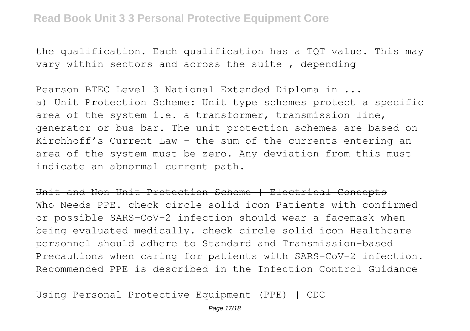the qualification. Each qualification has a TQT value. This may vary within sectors and across the suite , depending

#### Pearson BTEC Level 3 National Extended Diploma in ...

a) Unit Protection Scheme: Unit type schemes protect a specific area of the system i.e. a transformer, transmission line, generator or bus bar. The unit protection schemes are based on Kirchhoff's Current Law – the sum of the currents entering an area of the system must be zero. Any deviation from this must indicate an abnormal current path.

Unit and Non-Unit Protection Scheme | Electrical Concepts Who Needs PPE. check circle solid icon Patients with confirmed or possible SARS-CoV-2 infection should wear a facemask when being evaluated medically. check circle solid icon Healthcare personnel should adhere to Standard and Transmission-based Precautions when caring for patients with SARS-CoV-2 infection. Recommended PPE is described in the Infection Control Guidance

## Personal Protective Equipment (PPE) | CDC